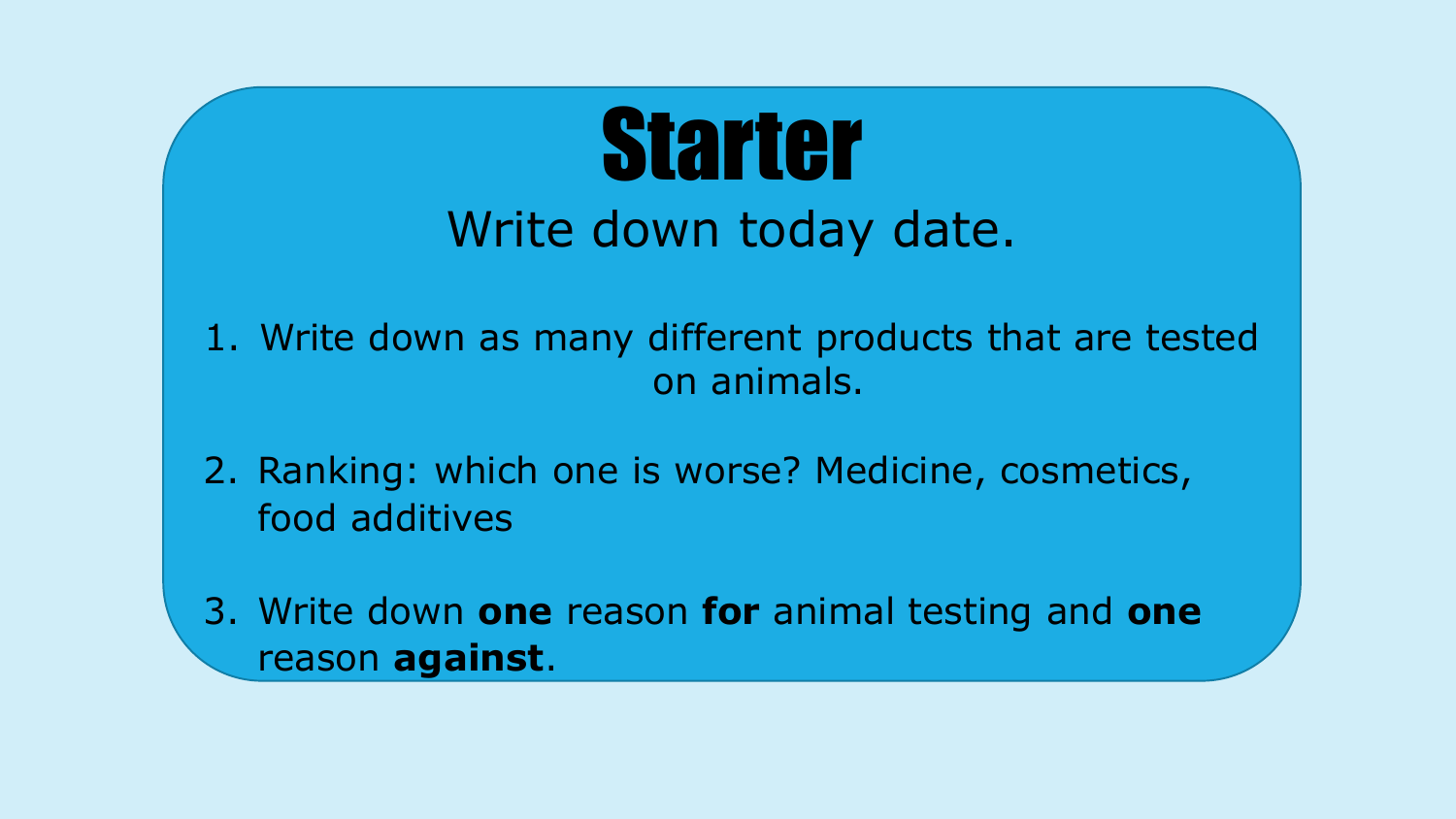

- 1. Write down as many different products that are tested on animals.
- 2. Ranking: which one is worse? Medicine, cosmetics, food additives
- 3. Write down **one** reason **for** animal testing and **one** reason **against**.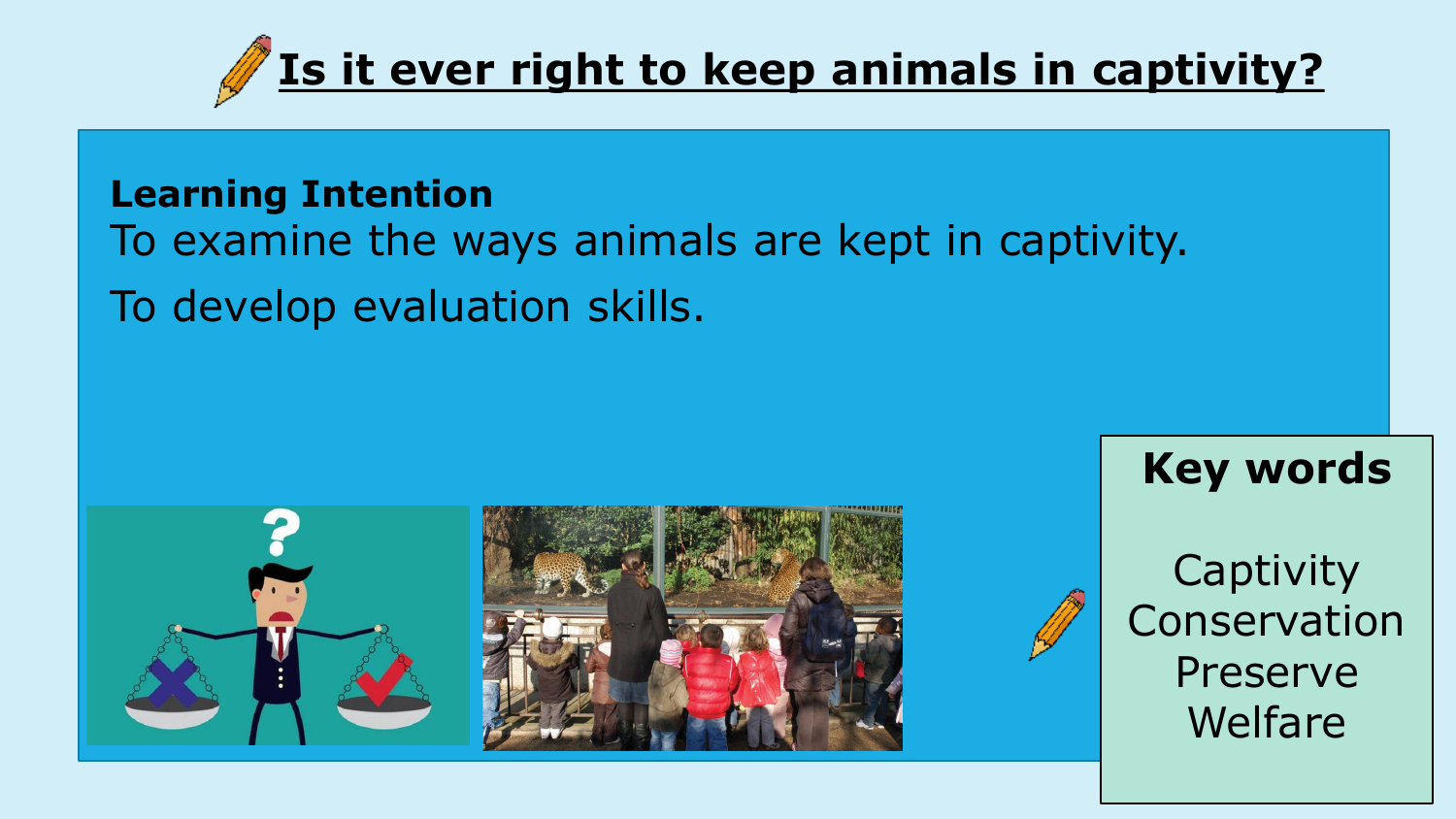

#### **Learning Intention**

- To examine the ways animals are kept in captivity.
- To develop evaluation skills.





#### **Key words**

**Captivity** Conservation Preserve Welfare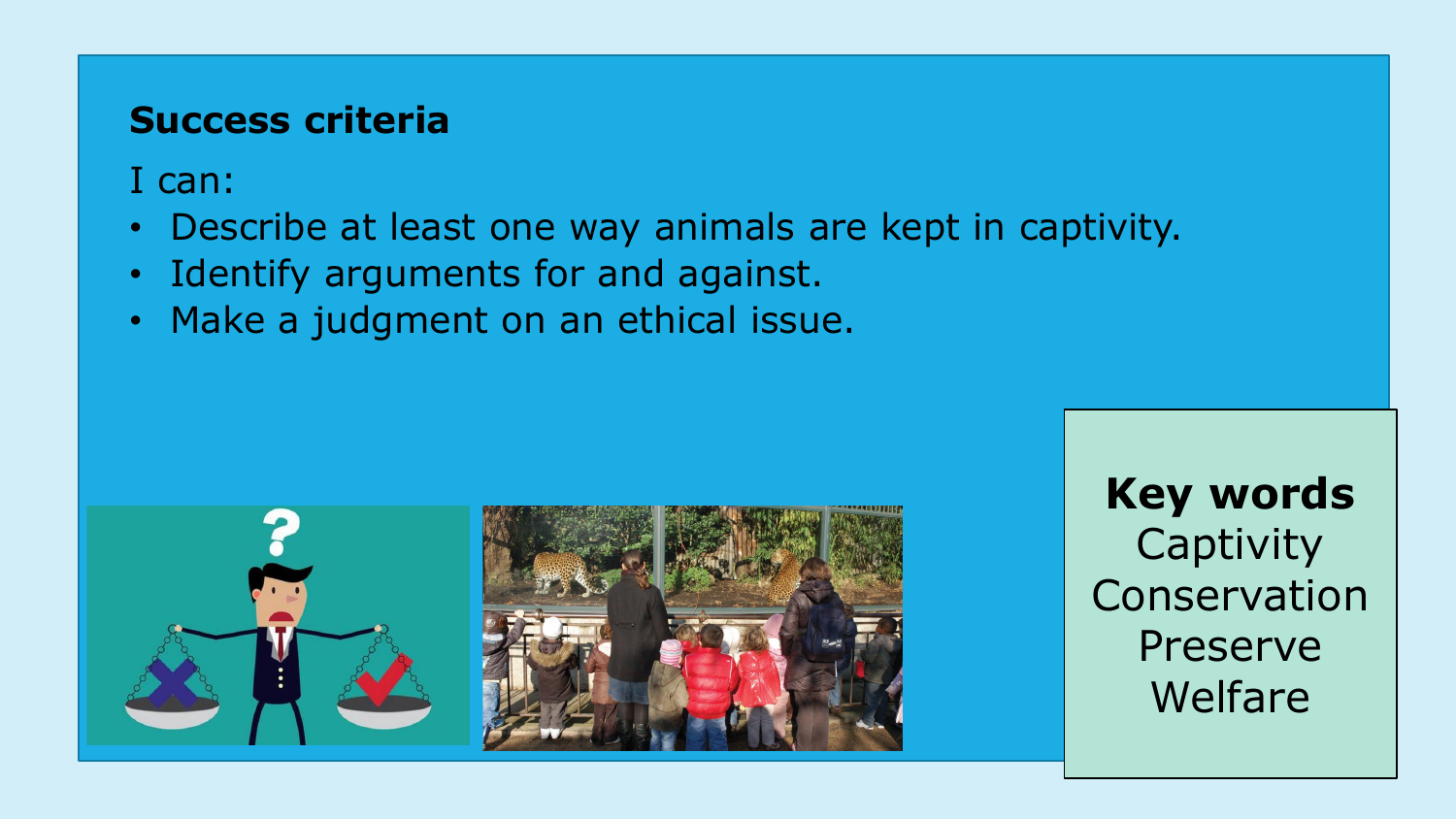#### **Success criteria**

I can:

- Describe at least one way animals are kept in captivity.
- Identify arguments for and against.
- Make a judgment on an ethical issue.



**Key words Captivity** Conservation Preserve Welfare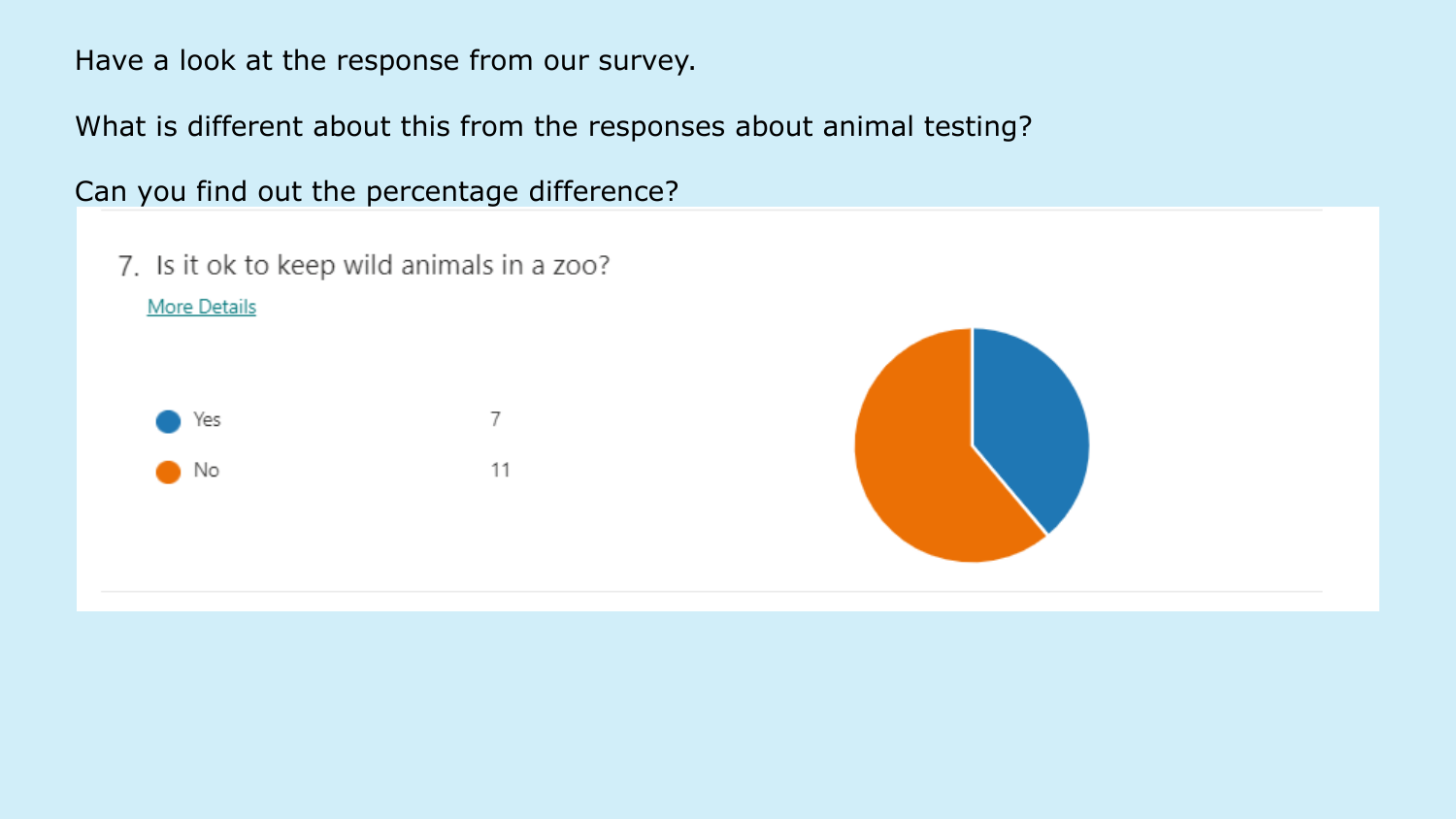Have a look at the response from our survey.

What is different about this from the responses about animal testing?

Can you find out the percentage difference?

7. Is it ok to keep wild animals in a zoo? **More Details** 



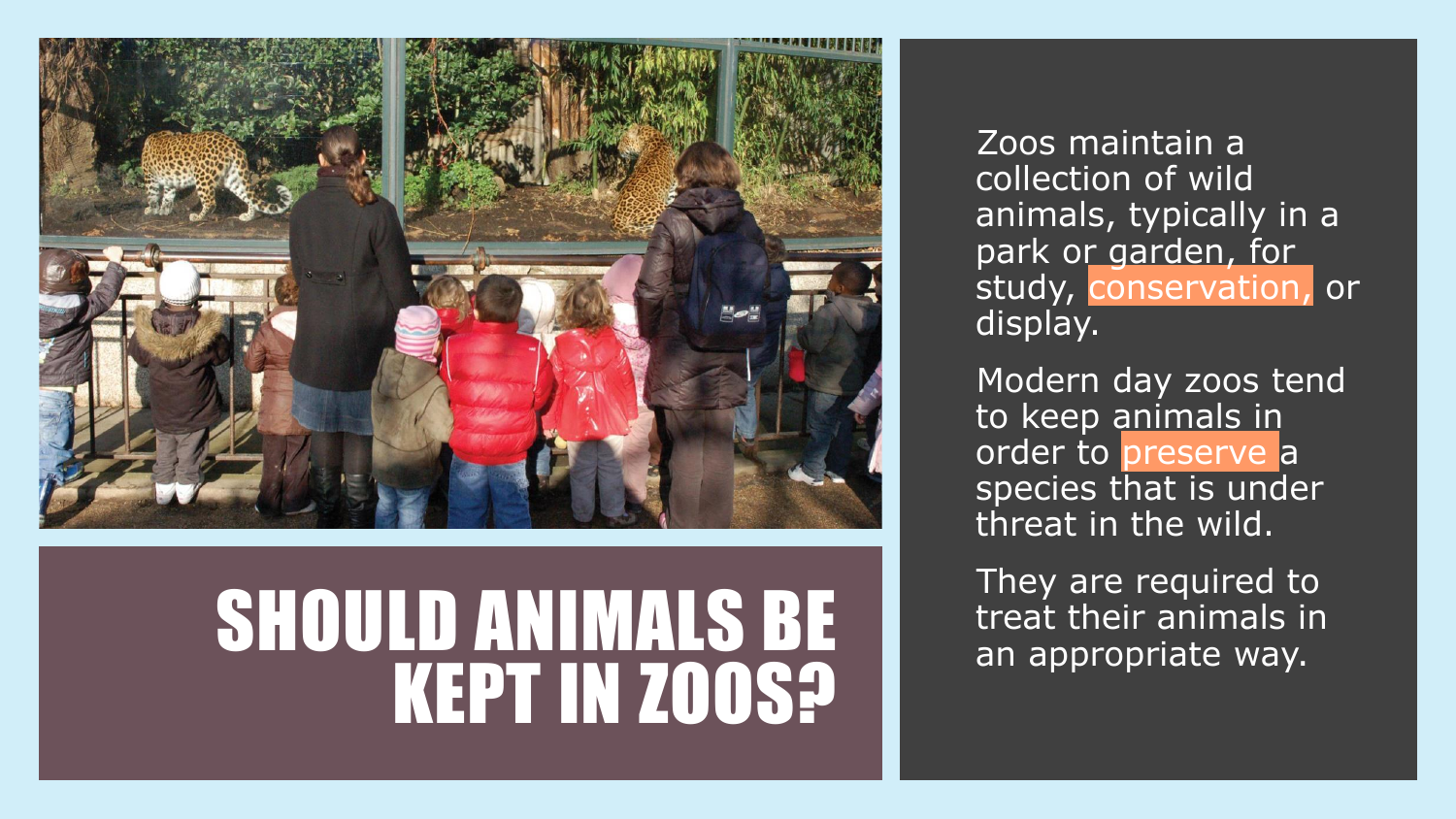

### SHOULD ANIMALS BE KEPT IN ZOOS?

Zoos maintain a collection of wild animals, typically in a park or garden, for study, conservation, or display.

Modern day zoos tend to keep animals in order to preserve a species that is under threat in the wild.

They are required to treat their animals in an appropriate way.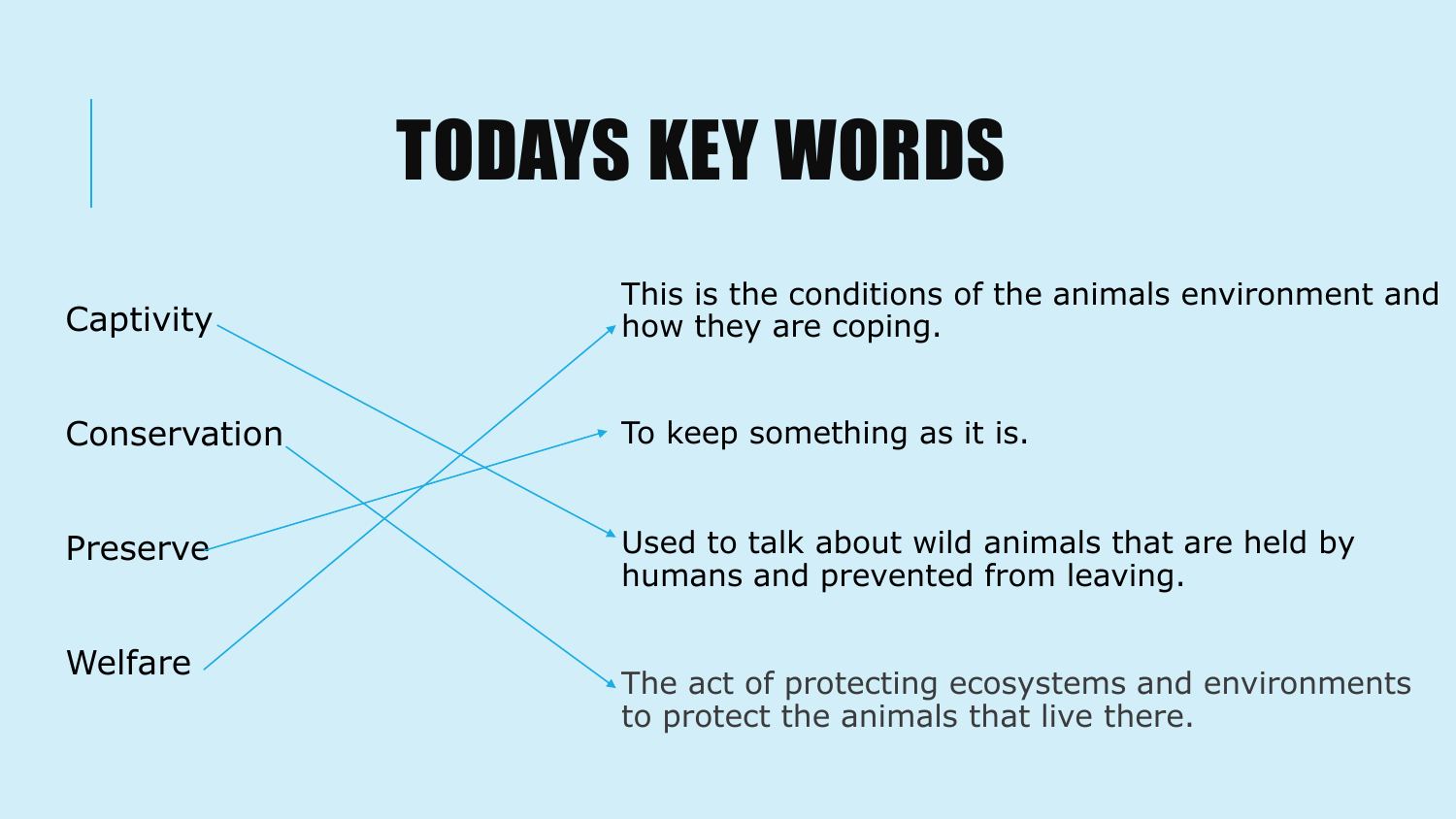## TODAYS KEY WORDS



Conservation

This is the conditions of the animals environment and how they are coping.

To keep something as it is.

Preserve

Used to talk about wild animals that are held by humans and prevented from leaving.

Welfare

The act of protecting ecosystems and environments to protect the animals that live there.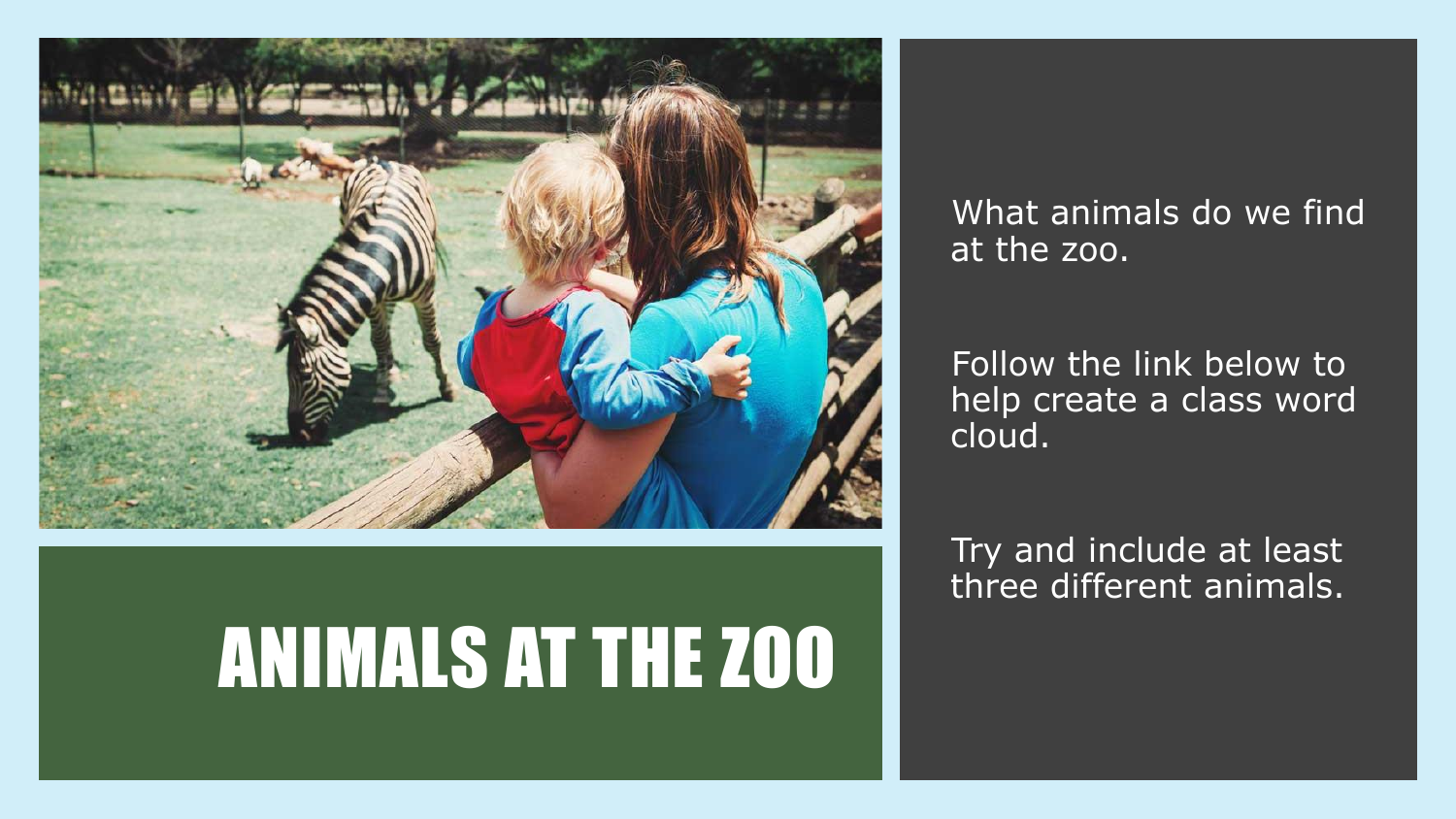

### ANIMALS AT THE ZOO

What animals do we find at the zoo.

Follow the link below to help create a class word cloud.

Try and include at least three different animals.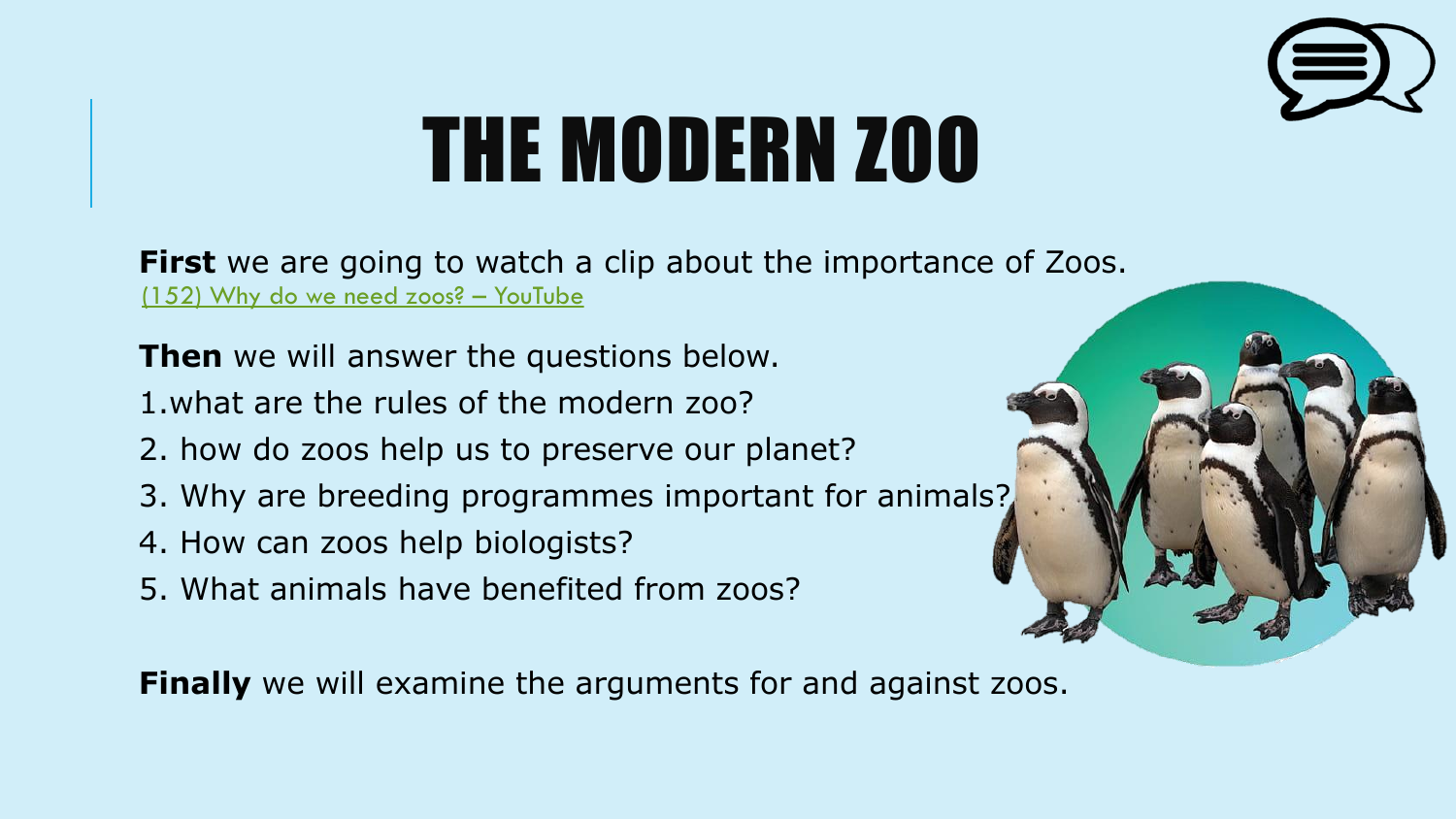

# THE MODERN ZOO

**First** we are going to watch a clip about the importance of Zoos. [\(152\) Why do we need zoos?](https://www.youtube.com/watch?v=XOrPmOXhxo0) – YouTube

**Then** we will answer the questions below.

1.what are the rules of the modern zoo?

- 2. how do zoos help us to preserve our planet?
- 3. Why are breeding programmes important for animals?
- 4. How can zoos help biologists?
- 5. What animals have benefited from zoos?

**Finally** we will examine the arguments for and against zoos.

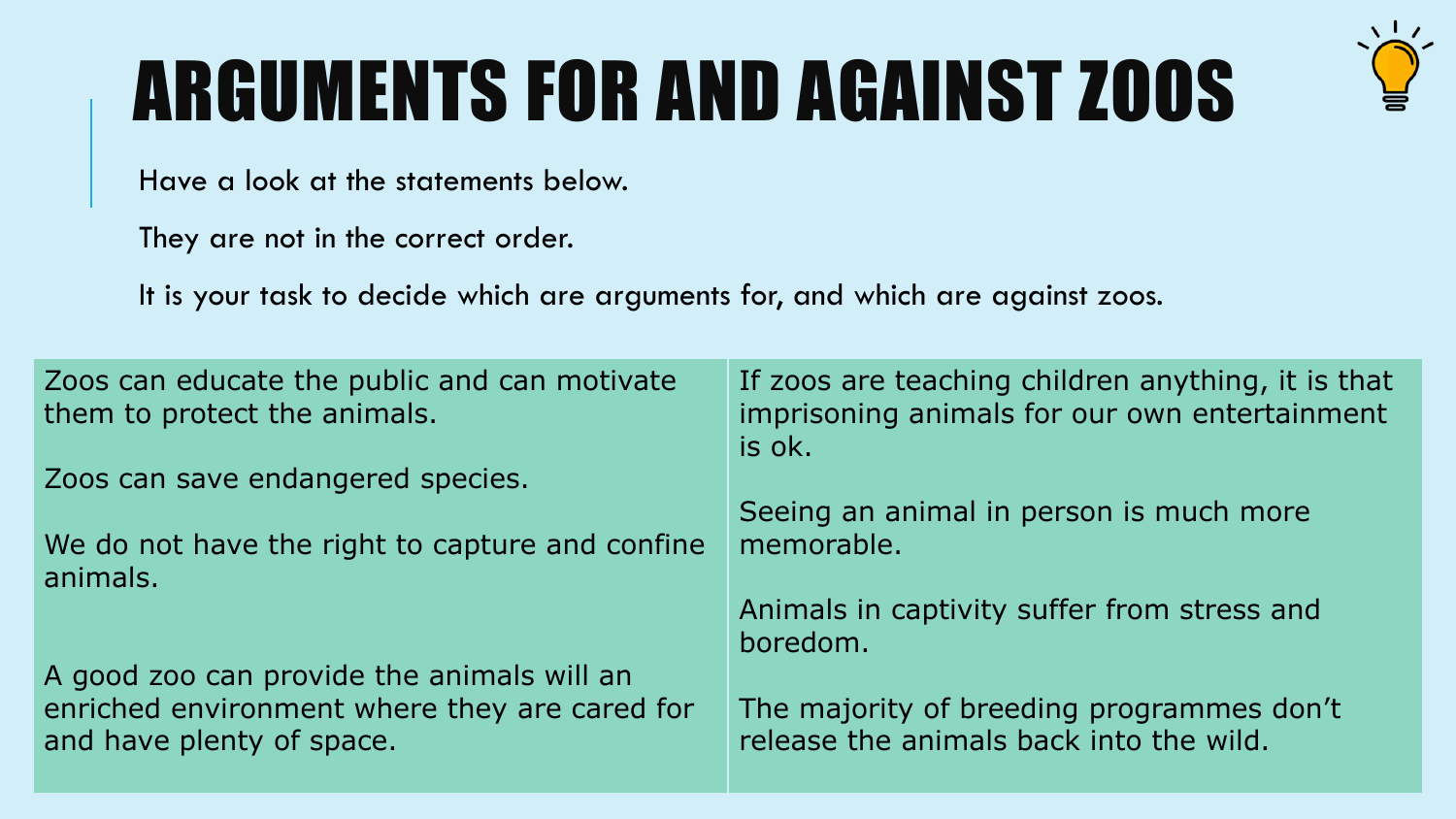## ARGUMENTS FOR AND AGAINST ZOOS



Have a look at the statements below.

They are not in the correct order.

It is your task to decide which are arguments for, and which are against zoos.

| Zoos can educate the public and can motivate<br>them to protect the animals.                                             | If zoos are teaching children anything, it is that<br>imprisoning animals for our own entertainment<br>is ok. |
|--------------------------------------------------------------------------------------------------------------------------|---------------------------------------------------------------------------------------------------------------|
| Zoos can save endangered species.                                                                                        |                                                                                                               |
|                                                                                                                          | Seeing an animal in person is much more                                                                       |
| We do not have the right to capture and confine<br>animals.                                                              | memorable.                                                                                                    |
|                                                                                                                          | Animals in captivity suffer from stress and                                                                   |
|                                                                                                                          | boredom.                                                                                                      |
| A good zoo can provide the animals will an<br>enriched environment where they are cared for<br>and have plenty of space. | The majority of breeding programmes don't<br>release the animals back into the wild.                          |